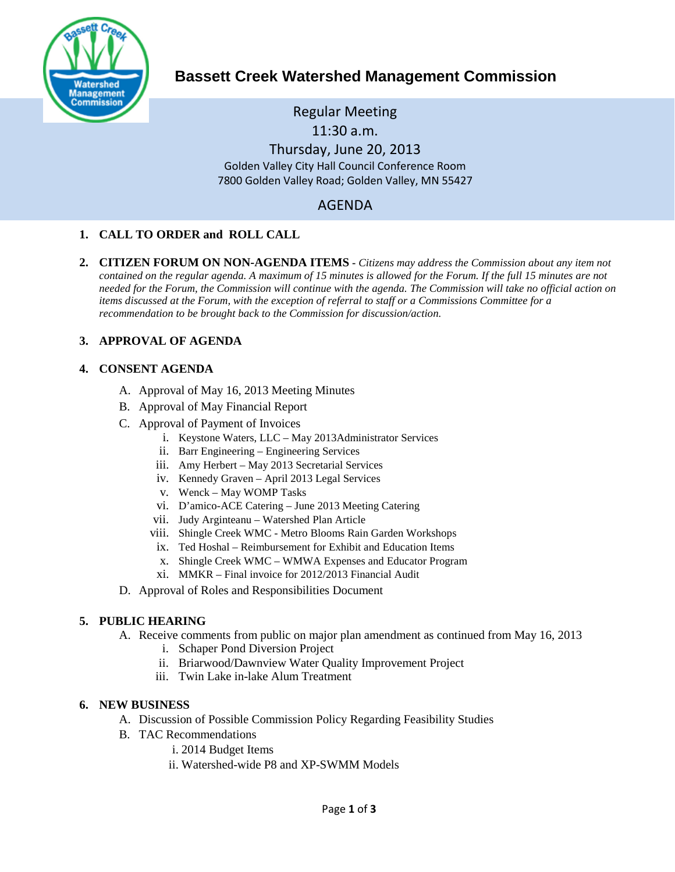

# **Bassett Creek Watershed Management Commission**

Regular Meeting 11:30 a.m.

Thursday, June 20, 2013 Golden Valley City Hall Council Conference Room 7800 Golden Valley Road; Golden Valley, MN 55427

# AGENDA

# **1. CALL TO ORDER and ROLL CALL**

**2. CITIZEN FORUM ON NON-AGENDA ITEMS -** *Citizens may address the Commission about any item not contained on the regular agenda. A maximum of 15 minutes is allowed for the Forum. If the full 15 minutes are not needed for the Forum, the Commission will continue with the agenda. The Commission will take no official action on items discussed at the Forum, with the exception of referral to staff or a Commissions Committee for a recommendation to be brought back to the Commission for discussion/action.*

## **3. APPROVAL OF AGENDA**

## **4. CONSENT AGENDA**

- A. Approval of May 16, 2013 Meeting Minutes
- B. Approval of May Financial Report
- C. Approval of Payment of Invoices
	- i. Keystone Waters, LLC May 2013Administrator Services
	- ii. Barr Engineering Engineering Services
	- iii. Amy Herbert May 2013 Secretarial Services
	- iv. Kennedy Graven April 2013 Legal Services
	- v. Wenck May WOMP Tasks
	- vi. D'amico-ACE Catering June 2013 Meeting Catering
	- vii. Judy Arginteanu Watershed Plan Article
	- viii. Shingle Creek WMC Metro Blooms Rain Garden Workshops
	- ix. Ted Hoshal Reimbursement for Exhibit and Education Items
	- x. Shingle Creek WMC WMWA Expenses and Educator Program
	- xi. MMKR Final invoice for 2012/2013 Financial Audit
- D. Approval of Roles and Responsibilities Document

## **5. PUBLIC HEARING**

- A. Receive comments from public on major plan amendment as continued from May 16, 2013
	- i. Schaper Pond Diversion Project
	- ii. Briarwood/Dawnview Water Quality Improvement Project
	- iii. Twin Lake in-lake Alum Treatment

## **6. NEW BUSINESS**

- A. Discussion of Possible Commission Policy Regarding Feasibility Studies
- B. TAC Recommendations
	- i. 2014 Budget Items
	- ii. Watershed-wide P8 and XP-SWMM Models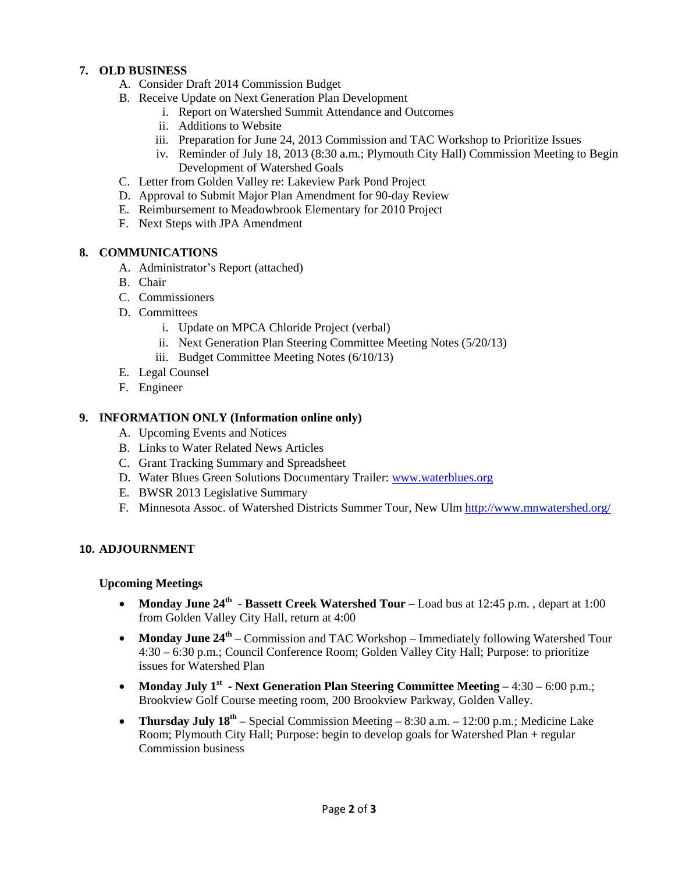# **7. OLD BUSINESS**

- A. Consider Draft 2014 Commission Budget
- B. Receive Update on Next Generation Plan Development
	- i. Report on Watershed Summit Attendance and Outcomes
	- ii. Additions to Website
	- iii. Preparation for June 24, 2013 Commission and TAC Workshop to Prioritize Issues
	- iv. Reminder of July 18, 2013 (8:30 a.m.; Plymouth City Hall) Commission Meeting to Begin Development of Watershed Goals
- C. Letter from Golden Valley re: Lakeview Park Pond Project
- D. Approval to Submit Major Plan Amendment for 90-day Review
- E. Reimbursement to Meadowbrook Elementary for 2010 Project
- F. Next Steps with JPA Amendment

## **8. COMMUNICATIONS**

- A. Administrator's Report (attached)
- B. Chair
- C. Commissioners
- D. Committees
	- i. Update on MPCA Chloride Project (verbal)
	- ii. Next Generation Plan Steering Committee Meeting Notes (5/20/13)
	- iii. Budget Committee Meeting Notes (6/10/13)
- E. Legal Counsel
- F. Engineer

# **9. INFORMATION ONLY (Information online only)**

- A. Upcoming Events and Notices
- B. Links to Water Related News Articles
- C. Grant Tracking Summary and Spreadsheet
- D. Water Blues Green Solutions Documentary Trailer: [www.waterblues.org](http://www.waterblues.org/)
- E. BWSR 2013 Legislative Summary
- F. Minnesota Assoc. of Watershed Districts Summer Tour, New Ulm<http://www.mnwatershed.org/>

## **10. ADJOURNMENT**

## **Upcoming Meetings**

- **Monday June 24<sup>th</sup> Bassett Creek Watershed Tour** Load bus at 12:45 p.m., depart at 1:00 from Golden Valley City Hall, return at 4:00
- **Monday June 24<sup>th</sup>** Commission and TAC Workshop Immediately following Watershed Tour 4:30 – 6:30 p.m.; Council Conference Room; Golden Valley City Hall; Purpose: to prioritize issues for Watershed Plan
- Monday July 1<sup>st</sup> Next Generation Plan Steering Committee Meeting 4:30 6:00 p.m.; Brookview Golf Course meeting room, 200 Brookview Parkway, Golden Valley.
- **Thursday July 18<sup>th</sup>** Special Commission Meeting 8:30 a.m. 12:00 p.m.; Medicine Lake Room; Plymouth City Hall; Purpose: begin to develop goals for Watershed Plan + regular Commission business